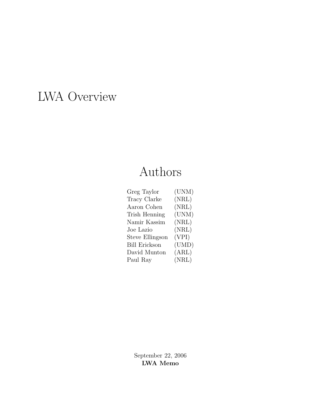# LWA Overview

# Authors

| (UNM) |
|-------|
| (NRL) |
| (NRL) |
| (UNM) |
| (NRL) |
| (NRL) |
| (VPI) |
| (UMD) |
| (ARL) |
| (NRL) |
|       |

September 22, 2006 LWA Memo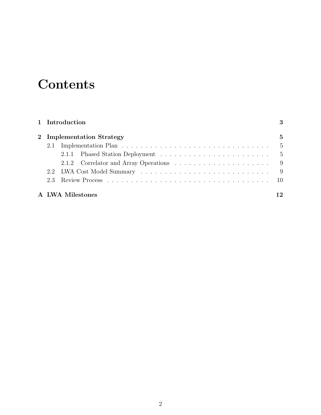# **Contents**

| 1 Introduction |  |                            |              |  |  |  |
|----------------|--|----------------------------|--------------|--|--|--|
|                |  | 2 Implementation Strategy  | $\mathbf{5}$ |  |  |  |
|                |  |                            | - 5          |  |  |  |
|                |  |                            |              |  |  |  |
|                |  |                            |              |  |  |  |
|                |  | 2.2 LWA Cost Model Summary | - 9          |  |  |  |
|                |  |                            |              |  |  |  |
|                |  | A LWA Milestones           | 12           |  |  |  |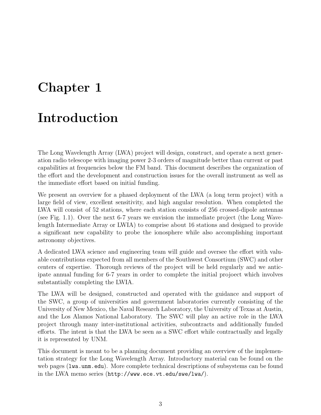# Chapter 1

### Introduction

The Long Wavelength Array (LWA) project will design, construct, and operate a next generation radio telescope with imaging power 2-3 orders of magnitude better than current or past capabilities at frequencies below the FM band. This document describes the organization of the effort and the development and construction issues for the overall instrument as well as the immediate effort based on initial funding.

We present an overview for a phased deployment of the LWA (a long term project) with a large field of view, excellent sensitivity, and high angular resolution. When completed the LWA will consist of 52 stations, where each station consists of 256 crossed-dipole antennas (see Fig. 1.1). Over the next 6-7 years we envision the immediate project (the Long Wavelength Intermediate Array or LWIA) to comprise about 16 stations and designed to provide a significant new capability to probe the ionosphere while also accomplishing important astronomy objectives.

A dedicated LWA science and engineering team will guide and oversee the effort with valuable contributions expected from all members of the Southwest Consortium (SWC) and other centers of expertise. Thorough reviews of the project will be held regularly and we anticipate annual funding for 6-7 years in order to complete the initial projoect which involves substantially completing the LWIA.

The LWA will be designed, constructed and operated with the guidance and support of the SWC, a group of universities and government laboratories currently consisting of the University of New Mexico, the Naval Research Laboratory, the University of Texas at Austin, and the Los Alamos National Laboratory. The SWC will play an active role in the LWA project through many inter-institutional activities, subcontracts and additionally funded efforts. The intent is that the LWA be seen as a SWC effort while contractually and legally it is represented by UNM.

This document is meant to be a planning document providing an overview of the implementation strategy for the Long Wavelength Array. Introductory material can be found on the web pages (lwa.unm.edu). More complete technical descriptions of subsystems can be found in the LWA memo series (http://www.ece.vt.edu/swe/lwa/).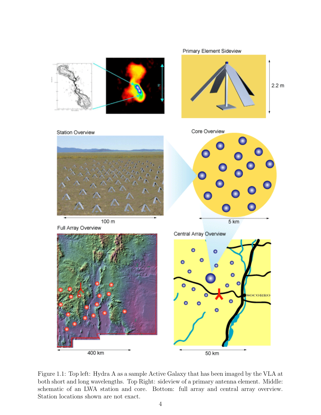

Figure 1.1: Top left: Hydra A as a sample Active Galaxy that has been imaged by the VLA at both short and long wavelengths. Top Right: sideview of a primary antenna element. Middle: schematic of an LWA station and core. Bottom: full array and central array overview. Station locations shown are not exact.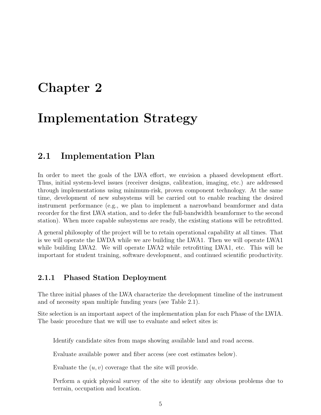### Chapter 2

### Implementation Strategy

#### 2.1 Implementation Plan

In order to meet the goals of the LWA effort, we envision a phased development effort. Thus, initial system-level issues (receiver designs, calibration, imaging, etc.) are addressed through implementations using minimum-risk, proven component technology. At the same time, development of new subsystems will be carried out to enable reaching the desired instrument performance (e.g., we plan to implement a narrowband beamformer and data recorder for the first LWA station, and to defer the full-bandwidth beamformer to the second station). When more capable subsystems are ready, the existing stations will be retrofitted.

A general philosophy of the project will be to retain operational capability at all times. That is we will operate the LWDA while we are building the LWA1. Then we will operate LWA1 while building LWA2. We will operate LWA2 while retrofitting LWA1, etc. This will be important for student training, software development, and continued scientific productivity.

#### 2.1.1 Phased Station Deployment

The three initial phases of the LWA characterize the development timeline of the instrument and of necessity span multiple funding years (see Table 2.1).

Site selection is an important aspect of the implementation plan for each Phase of the LWIA. The basic procedure that we will use to evaluate and select sites is:

Identify candidate sites from maps showing available land and road access.

Evaluate available power and fiber access (see cost estimates below).

Evaluate the  $(u, v)$  coverage that the site will provide.

Perform a quick physical survey of the site to identify any obvious problems due to terrain, occupation and location.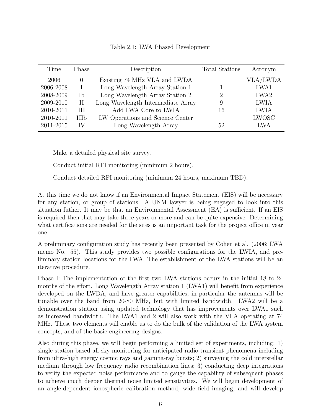|  |  | Table 2.1: LWA Phased Development |
|--|--|-----------------------------------|
|--|--|-----------------------------------|

| Time      | Phase            | Description                        | <b>Total Stations</b> | Acronym          |
|-----------|------------------|------------------------------------|-----------------------|------------------|
| 2006      | $\left( \right)$ | Existing 74 MHz VLA and LWDA       |                       | <b>VLA/LWDA</b>  |
| 2006-2008 |                  | Long Wavelength Array Station 1    |                       | LWA1             |
| 2008-2009 | Ib               | Long Wavelength Array Station 2    | 9                     | LWA <sub>2</sub> |
| 2009-2010 | H                | Long Wavelength Intermediate Array | 9                     | <b>LWIA</b>      |
| 2010-2011 | H                | Add LWA Core to LWIA               | 16                    | <b>LWIA</b>      |
| 2010-2011 | <b>IIIb</b>      | LW Operations and Science Center   |                       | <b>LWOSC</b>     |
| 2011-2015 | IV               | Long Wavelength Array              | 52                    | LWA              |

Make a detailed physical site survey.

Conduct initial RFI monitoring (minimum 2 hours).

Conduct detailed RFI monitoring (minimum 24 hours, maximum TBD).

At this time we do not know if an Environmental Impact Statement (EIS) will be necessary for any station, or group of stations. A UNM lawyer is being engaged to look into this situation futher. It may be that an Environmental Assessment (EA) is sufficient. If an EIS is required then that may take three years or more and can be quite expensive. Determining what certifications are needed for the sites is an important task for the project office in year one.

A preliminary configuration study has recently been presented by Cohen et al. (2006; LWA memo No. 55). This study provides two possible configurations for the LWIA, and preliminary station locations for the LWA. The establishment of the LWA stations will be an iterative procedure.

Phase I: The implementation of the first two LWA stations occurs in the initial 18 to 24 months of the effort. Long Wavelength Array station 1 (LWA1) will benefit from experience developed on the LWDA, and have greater capabilities, in particular the antennas will be tunable over the band from 20-80 MHz, but with limited bandwidth. LWA2 will be a demonstration station using updated technology that has improvements over LWA1 such as increased bandwidth. The LWA1 and 2 will also work with the VLA operating at 74 MHz. These two elements will enable us to do the bulk of the validation of the LWA system concepts, and of the basic engineering designs.

Also during this phase, we will begin performing a limited set of experiments, including: 1) single-station based all-sky monitoring for anticipated radio transient phenomena including from ultra-high energy cosmic rays and gamma-ray bursts; 2) surveying the cold interstellar medium through low frequency radio recombination lines; 3) conducting deep integrations to verify the expected noise performance and to gauge the capability of subsequent phases to achieve much deeper thermal noise limited sensitivities. We will begin development of an angle-dependent ionospheric calibration method, wide field imaging, and will develop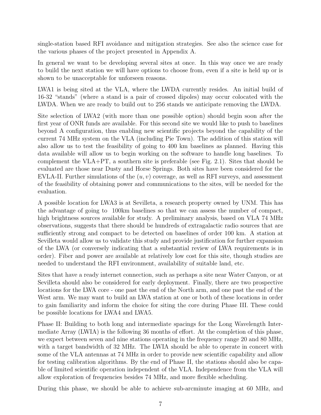single-station based RFI avoidance and mitigation strategies. See also the science case for the various phases of the project presented in Appendix A.

In general we want to be developing several sites at once. In this way once we are ready to build the next station we will have options to choose from, even if a site is held up or is shown to be unacceptable for unforseen reasons.

LWA1 is being sited at the VLA, where the LWDA currently resides. An initial build of 16-32 "stands" (where a stand is a pair of crossed dipoles) may occur colocated with the LWDA. When we are ready to build out to 256 stands we anticipate removing the LWDA.

Site selection of LWA2 (with more than one possible option) should begin soon after the first year of ONR funds are available. For this second site we would like to push to baselines beyond A configuration, thus enabling new scientific projects beyond the capability of the current 74 MHz system on the VLA (including Pie Town). The addition of this station will also allow us to test the feasibility of going to 400 km baselines as planned. Having this data available will allow us to begin working on the software to handle long baselines. To complement the VLA+PT, a southern site is preferable (see Fig. 2.1). Sites that should be evaluated are those near Dusty and Horse Springs. Both sites have been considered for the EVLA-II. Further simulations of the  $(u, v)$  coverage, as well as RFI surveys, and assessment of the feasibility of obtaining power and communications to the sites, will be needed for the evaluation.

A possible location for LWA3 is at Sevilleta, a research property owned by UNM. This has the advantage of going to 100km baselines so that we can assess the number of compact, high brightness sources available for study. A preliminary analysis, based on VLA 74 MHz observations, suggests that there should be hundreds of extragalactic radio sources that are sufficiently strong and compact to be detected on baselines of order 100 km. A station at Sevilleta would allow us to validate this study and provide justification for further expansion of the LWA (or conversely indicating that a substantial review of LWA requirements is in order). Fiber and power are available at relatively low cost for this site, though studies are needed to understand the RFI environment, availability of suitable land, etc.

Sites that have a ready internet connection, such as perhaps a site near Water Canyon, or at Sevilleta should also be considered for early deployment. Finally, there are two prospective locations for the LWA core - one past the end of the North arm, and one past the end of the West arm. We may want to build an LWA station at one or both of these locations in order to gain familiarity and inform the choice for siting the core during Phase III. These could be possible locations for LWA4 and LWA5.

Phase II: Building to both long and intermediate spacings for the Long Wavelength Intermediate Array (LWIA) is the following 36 months of effort. At the completion of this phase, we expect between seven and nine stations operating in the frequency range 20 and 80 MHz, with a target bandwidth of 32 MHz. The LWIA should be able to operate in concert with some of the VLA antennas at 74 MHz in order to provide new scientific capability and allow for testing calibration algorithms. By the end of Phase II, the stations should also be capable of limited scientific operation independent of the VLA. Independence from the VLA will allow exploration of frequencies besides 74 MHz, and more flexible scheduling.

During this phase, we should be able to achieve sub-arcminute imaging at 60 MHz, and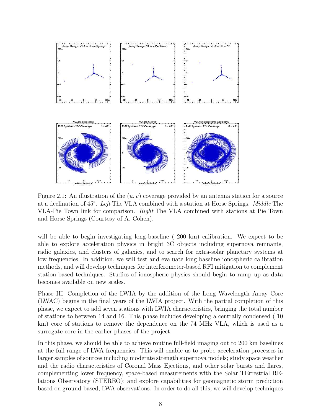

Figure 2.1: An illustration of the  $(u, v)$  coverage provided by an antenna station for a source at a declination of 45◦ . Left The VLA combined with a station at Horse Springs. Middle The VLA-Pie Town link for comparison. Right The VLA combined with stations at Pie Town and Horse Springs (Courtesy of A. Cohen).

will be able to begin investigating long-baseline (200 km) calibration. We expect to be able to explore acceleration physics in bright 3C objects including supernova remnants, radio galaxies, and clusters of galaxies, and to search for extra-solar planetary systems at low frequencies. In addition, we will test and evaluate long baseline ionospheric calibration methods, and will develop techniques for interferometer-based RFI mitigation to complement station-based techniques. Studies of ionospheric physics should begin to ramp up as data becomes available on new scales.

Phase III: Completion of the LWIA by the addition of the Long Wavelength Array Core (LWAC) begins in the final years of the LWIA project. With the partial completion of this phase, we expect to add seven stations with LWIA characteristics, bringing the total number of stations to between 14 and 16. This phase includes developing a centrally condensed ( 10 km) core of stations to remove the dependence on the 74 MHz VLA, which is used as a surrogate core in the earlier phases of the project.

In this phase, we should be able to achieve routine full-field imaging out to 200 km baselines at the full range of LWA frequencies. This will enable us to probe acceleration processes in larger samples of sources including moderate strength supernova models; study space weather and the radio characteristics of Coronal Mass Ejections, and other solar bursts and flares, complementing lower frequency, space-based measurements with the Solar TErrestrial RElations Observatory (STEREO); and explore capabilities for geomagnetic storm prediction based on ground-based, LWA observations. In order to do all this, we will develop techniques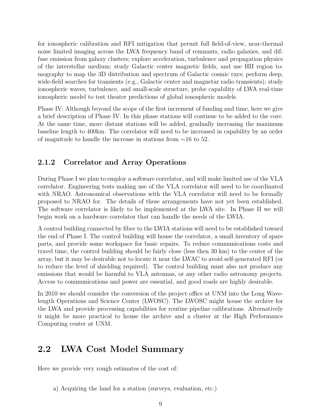for ionospheric calibration and RFI mitigation that permit full field-of-view, near-thermal noise limited imaging across the LWA frequency band of remnants, radio galaxies, and diffuse emission from galaxy clusters; explore acceleration, turbulence and propagation physics of the interstellar medium; study Galactic center magnetic fields, and use HII region tomography to map the 3D distribution and spectrum of Galactic cosmic rays; perform deep, wide-field searches for transients (e.g., Galactic center and magnetar radio transients); study ionospheric waves, turbulence, and small-scale structure, probe capability of LWA real-time ionospheric model to test theater predictions of global ionospheric models.

Phase IV: Although beyond the scope of the first increment of funding and time, here we give a brief description of Phase IV. In this phase stations will continue to be added to the core. At the same time, more distant stations will be added, gradually increasing the maximum baseline length to 400km. The correlator will need to be increased in capability by an order of magnitude to handle the increase in stations from ∼16 to 52.

#### 2.1.2 Correlator and Array Operations

During Phase I we plan to employ a software correlator, and will make limited use of the VLA correlator. Engineering tests making use of the VLA correlator will need to be coordinated with NRAO. Astronomical observations with the VLA correlator will need to be formally proposed to NRAO for. The details of these arrangements have not yet been established. The software correlator is likely to be implemented at the LWA site. In Phase II we will begin work on a hardware correlator that can handle the needs of the LWIA.

A control building connected by fiber to the LWIA stations will need to be established toward the end of Phase I. The control building will house the correlator, a small inventory of spare parts, and provide some workspace for basic repairs. To reduce communications costs and travel time, the control building should be fairly close (less then 30 km) to the center of the array, but it may be desirable not to locate it near the LWAC to avoid self-generated RFI (or to reduce the level of shielding required). The control building must also not produce any emissions that would be harmful to VLA antennas, or any other radio astronomy projects. Access to communications and power are essential, and good roads are highly desirable.

In 2010 we should consider the conversion of the project office at UNM into the Long Wavelength Operations and Science Center (LWOSC). The LWOSC might house the archive for the LWA and provide processing capabilities for routine pipeline calibrations. Alternatively it might be more practical to house the archive and a cluster at the High Performance Computing center at UNM.

#### 2.2 LWA Cost Model Summary

Here we provide very rough estimates of the cost of:

a) Acquiring the land for a station (surveys, evaluation, etc.)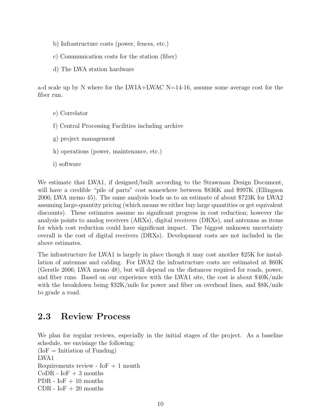- b) Infrastructure costs (power, fences, etc.)
- c) Communication costs for the station (fiber)
- d) The LWA station hardware

a-d scale up by N where for the LWIA+LWAC  $N=14-16$ , assume some average cost for the fiber run.

- e) Correlator
- f) Central Processing Facilities including archive
- g) project management
- h) operations (power, maintenance, etc.)
- i) software

We estimate that LWA1, if designed/built according to the Strawman Design Document, will have a credible "pile of parts" cost somewhere between \$836K and \$997K (Ellingson 2006; LWA memo 45). The same analysis leads us to an estimate of about \$723K for LWA2 assuming large-quantity pricing (which means we either buy large quantities or get equivalent discounts). These estimates assume no significant progress in cost reduction; however the analysis points to analog receivers (ARXs), digital receivers (DRXs), and antennas as items for which cost reduction could have significant impact. The biggest unknown uncertainty overall is the cost of digital receivers (DRXs). Development costs are not included in the above estimates.

The infrastructure for LWA1 is largely in place though it may cost another \$25K for installation of antennas and cabling. For LWA2 the infrastructure costs are estimated at \$60K (Gerstle 2006; LWA memo 48), but will depend on the distances required for roads, power, and fiber runs. Based on our experience with the LWA1 site, the cost is about \$40K/mile with the breakdown being \$32K/mile for power and fiber on overhead lines, and \$8K/mile to grade a road.

#### 2.3 Review Process

We plan for regular reviews, especially in the initial stages of the project. As a baseline schedule, we envisiage the following:  $(IoF =$ Initiation of Funding) LWA1 Requirements review -  $I \circ F + 1$  month

 $CoDR - IoF + 3$  months PDR -  $I$ o $F + 10$  months CDR -  $I$ oF + 20 months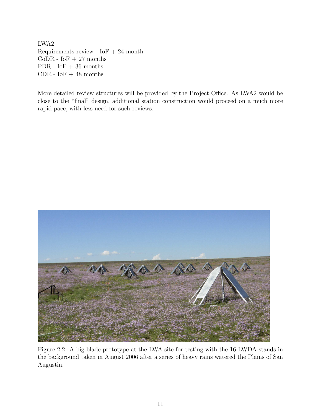LWA2 Requirements review -  $I$ o $F + 24$  month CoDR -  $I$ oF + 27 months PDR -  $I$ oF + 36 months CDR -  $\ensuremath{\mathrm{IoF}}$  + 48 months

More detailed review structures will be provided by the Project Office. As LWA2 would be close to the "final" design, additional station construction would proceed on a much more rapid pace, with less need for such reviews.



Figure 2.2: A big blade prototype at the LWA site for testing with the 16 LWDA stands in the background taken in August 2006 after a series of heavy rains watered the Plains of San Augustin.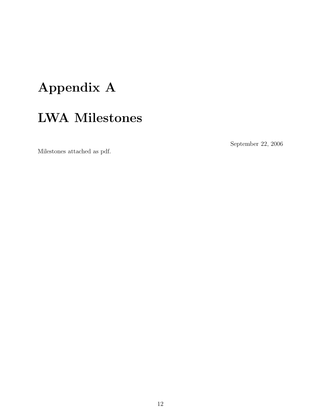# Appendix A LWA Milestones

Milestones attached as pdf.

September 22, 2006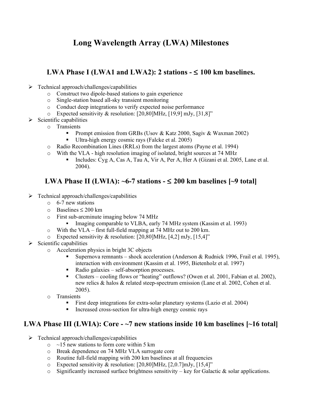#### **Long Wavelength Array (LWA) Milestones**

#### **LWA Phase I** (LWA1 and LWA2): 2 stations  $- \leq 100$  km baselines.

- $\triangleright$  Technical approach/challenges/capabilities
	- o Construct two dipole-based stations to gain experience
	- o Single-station based all-sky transient monitoring
	- o Conduct deep integrations to verify expected noise performance
	- $\circ$  Expected sensitivity & resolution: [20,80]MHz, [19,9] mJy, [31,8]"
- $\triangleright$  Scientific capabilities
	- o Transients
		- **Prompt emission from GRBs (Usov & Katz 2000, Sagiv & Waxman 2002)**
		- Ultra-high energy cosmic rays (Falcke et al. 2005)
		- o Radio Recombination Lines (RRLs) from the largest atoms (Payne et al. 1994)
		- o With the VLA high resolution imaging of isolated, bright sources at 74 MHz
			- Includes: Cyg A, Cas A, Tau A, Vir A, Per A, Her A (Gizani et al. 2005, Lane et al. 2004).

#### **LWA Phase II (LWIA): ~6-7 stations -** ≤ **200 km baselines [~9 total]**

- $\triangleright$  Technical approach/challenges/capabilities
	- o 6-7 new stations
	- o Baselines ≤ 200 km
	- o First sub-arcminute imaging below 74 MHz
		- Imaging comparable to VLBA, early 74 MHz system (Kassim et al. 1993)
	- o With the VLA first full-field mapping at 74 MHz out to 200 km.
	- $\circ$  Expected sensitivity & resolution: [20,80]MHz, [4,2] mJy, [15,4]"
- $\triangleright$  Scientific capabilities
	- o Acceleration physics in bright 3C objects
		- Supernova remnants shock acceleration (Anderson & Rudnick 1996, Frail et al. 1995), interaction with environment (Kassim et al. 1995, Bietenholz et al. 1997)
		- Radio galaxies self-absorption processes.
		- Clusters cooling flows or "heating" outflows? (Owen et al. 2001, Fabian et al. 2002), new relics & halos & related steep-spectrum emission (Lane et al. 2002, Cohen et al. 2005).
	- o Transients
		- First deep integrations for extra-solar planetary systems (Lazio et al. 2004)
		- Increased cross-section for ultra-high energy cosmic rays

#### **LWA Phase III (LWIA): Core - ~7 new stations inside 10 km baselines [~16 total]**

- $\triangleright$  Technical approach/challenges/capabilities
	- $\circ$  ~15 new stations to form core within 5 km
	- o Break dependence on 74 MHz VLA surrogate core
	- o Routine full-field mapping with 200 km baselines at all frequencies
	- $\degree$  Expected sensitivity & resolution: [20,80]MHz, [2,0.7]mJy, [15,4]"
	- $\circ$  Significantly increased surface brightness sensitivity key for Galactic & solar applications.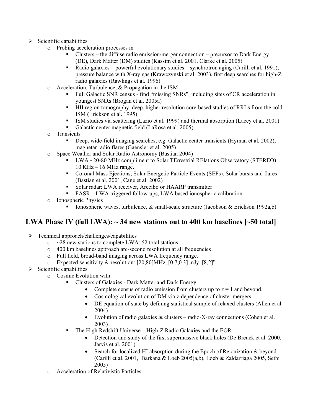- $\triangleright$  Scientific capabilities
	- o Probing acceleration processes in
		- Clusters the diffuse radio emission/merger connection precursor to Dark Energy (DE), Dark Matter (DM) studies (Kassim et al. 2001, Clarke et al. 2005)
		- Radio galaxies powerful evolutionary studies synchrotron aging (Carilli et al. 1991), pressure balance with X-ray gas (Krawczynski et al. 2003), first deep searches for high-Z radio galaxies (Rawlings et al. 1996)
	- o Acceleration, Turbulence, & Propagation in the ISM
		- Full Galactic SNR census find "missing SNRs", including sites of CR acceleration in youngest SNRs (Brogan et al. 2005a)
		- HII region tomography, deep, higher resolution core-based studies of RRLs from the cold ISM (Erickson et al. 1995)
		- ISM studies via scattering (Lazio et al. 1999) and thermal absorption (Lacey et al. 2001)
		- Galactic center magnetic field (LaRosa et al. 2005)
	- o Transients
		- Deep, wide-field imaging searches, e.g. Galactic center transients (Hyman et al. 2002), magnetar radio flares (Gaensler et al. 2005)
	- o Space Weather and Solar Radio Astronomy (Bastian 2004)
		- $\blacksquare$  LWA ~20-80 MHz compliment to Solar TErrestrial RElations Observatory (STEREO) 10 KHz – 16 MHz range.
		- Coronal Mass Ejections, Solar Energetic Particle Events (SEPs), Solar bursts and flares (Bastian et al. 2001, Cane et al. 2002)
		- Solar radar: LWA receiver, Arecibo or HAARP transmitter
		- FASR LWA triggered follow-ups, LWA based ionospheric calibration
	- o Ionospheric Physics
		- **Ionospheric waves, turbulence, & small-scale structure (Jacobson & Erickson 1992a,b)**

#### **LWA Phase IV (full LWA): ~ 34 new stations out to 400 km baselines [~50 total]**

- $\triangleright$  Technical approach/challenges/capabilities
	- $\circ$  ~28 new stations to complete LWA: 52 total stations
	- o 400 km baselines approach arc-second resolution at all frequencies
	- o Full field, broad-band imaging across LWA frequency range.
	- o Expected sensitivity & resolution: [20,80]MHz, [0.7,0.3] mJy, [8,2]"
- $\triangleright$  Scientific capabilities
	- o Cosmic Evolution with
		- Clusters of Galaxies Dark Matter and Dark Energy
			- Complete census of radio emission from clusters up to  $z = 1$  and beyond.
			- Cosmological evolution of DM via z-dependence of cluster mergers
			- DE equation of state by defining statistical sample of relaxed clusters (Allen et al. 2004)
			- Evolution of radio galaxies  $&$  clusters radio-X-ray connections (Cohen et al. 2003)
		- The High Redshift Universe High-Z Radio Galaxies and the EOR
			- Detection and study of the first supermassive black holes (De Breuck et al. 2000, Jarvis et al. 2001)
			- Search for localized HI absorption during the Epoch of Reionization & beyond (Carilli et al. 2001, Barkana & Loeb 2005(a,b), Loeb & Zaldarriaga 2005, Sethi 2005)
	- o Acceleration of Relativistic Particles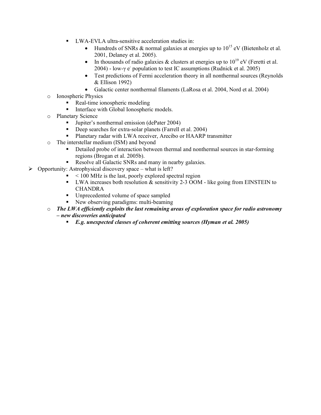- LWA-EVLA ultra-sensitive acceleration studies in:
	- Hundreds of SNRs & normal galaxies at energies up to  $10^{15}$  eV (Bietenholz et al. 2001, Delaney et al. 2005).
	- In thousands of radio galaxies  $\&$  clusters at energies up to  $10^{19}$  eV (Feretti et al. 2004) - low-γ e - population to test IC assumptions (Rudnick et al. 2005)
	- Test predictions of Fermi acceleration theory in all nonthermal sources (Reynolds & Ellison 1992)
	- Galactic center nonthermal filaments (LaRosa et al. 2004, Nord et al. 2004)
- o Ionospheric Physics
	- Real-time ionospheric modeling
	- **Interface with Global Ionospheric models.**
- o Planetary Science
	- Jupiter's nonthermal emission (dePater 2004)
	- Deep searches for extra-solar planets (Farrell et al. 2004)
	- Planetary radar with LWA receiver, Arecibo or HAARP transmitter
- o The interstellar medium (ISM) and beyond
	- Detailed probe of interaction between thermal and nonthermal sources in star-forming regions (Brogan et al. 2005b).
	- Resolve all Galactic SNRs and many in nearby galaxies.
- $\triangleright$  Opportunity: Astrophysical discovery space what is left?
	- $\sim 100$  MHz is the last, poorly explored spectral region
	- UWA increases both resolution  $\&$  sensitivity 2-3 OOM like going from EINSTEIN to CHANDRA
	- Unprecedented volume of space sampled
	- New observing paradigms: multi-beaming
	- o *The LWA efficiently exploits the last remaining areas of exploration space for radio astronomy – new discoveries anticipated*
		- *E.g. unexpected classes of coherent emitting sources (Hyman et al. 2005)*